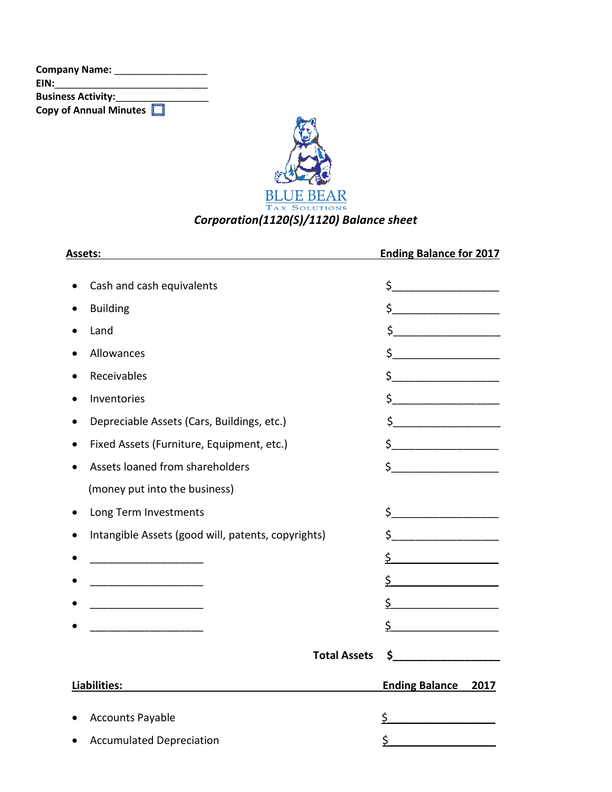| <b>Company Name:</b>      |  |
|---------------------------|--|
| EIN:                      |  |
| <b>Business Activity:</b> |  |
| Copy of Annual Minutes    |  |



| Assets:                                                             | <b>Ending Balance for 2017</b>                                                                                                                                                                                                                                                                                                                      |
|---------------------------------------------------------------------|-----------------------------------------------------------------------------------------------------------------------------------------------------------------------------------------------------------------------------------------------------------------------------------------------------------------------------------------------------|
| Cash and cash equivalents                                           | $\begin{picture}(20,10) \put(0,0){\line(1,0){10}} \put(15,0){\line(1,0){10}} \put(15,0){\line(1,0){10}} \put(15,0){\line(1,0){10}} \put(15,0){\line(1,0){10}} \put(15,0){\line(1,0){10}} \put(15,0){\line(1,0){10}} \put(15,0){\line(1,0){10}} \put(15,0){\line(1,0){10}} \put(15,0){\line(1,0){10}} \put(15,0){\line(1,0){10}} \put(15,0){\line(1$ |
| <b>Building</b><br>$\bullet$                                        | $\sharp$                                                                                                                                                                                                                                                                                                                                            |
| Land<br>$\bullet$                                                   | \$______________________                                                                                                                                                                                                                                                                                                                            |
| Allowances                                                          | $\frac{1}{2}$                                                                                                                                                                                                                                                                                                                                       |
| Receivables                                                         | $\frac{1}{2}$                                                                                                                                                                                                                                                                                                                                       |
| Inventories<br>$\bullet$                                            | $\begin{picture}(20,20) \put(0,0){\line(1,0){10}} \put(15,0){\line(1,0){10}} \put(15,0){\line(1,0){10}} \put(15,0){\line(1,0){10}} \put(15,0){\line(1,0){10}} \put(15,0){\line(1,0){10}} \put(15,0){\line(1,0){10}} \put(15,0){\line(1,0){10}} \put(15,0){\line(1,0){10}} \put(15,0){\line(1,0){10}} \put(15,0){\line(1,0){10}} \put(15,0){\line(1$ |
| Depreciable Assets (Cars, Buildings, etc.)<br>$\bullet$             | $\begin{picture}(20,10) \put(0,0){\line(1,0){10}} \put(15,0){\line(1,0){10}} \put(15,0){\line(1,0){10}} \put(15,0){\line(1,0){10}} \put(15,0){\line(1,0){10}} \put(15,0){\line(1,0){10}} \put(15,0){\line(1,0){10}} \put(15,0){\line(1,0){10}} \put(15,0){\line(1,0){10}} \put(15,0){\line(1,0){10}} \put(15,0){\line(1,0){10}} \put(15,0){\line(1$ |
| Fixed Assets (Furniture, Equipment, etc.)<br>$\bullet$              | $\begin{picture}(20,10) \put(0,0){\line(1,0){10}} \put(15,0){\line(1,0){10}} \put(15,0){\line(1,0){10}} \put(15,0){\line(1,0){10}} \put(15,0){\line(1,0){10}} \put(15,0){\line(1,0){10}} \put(15,0){\line(1,0){10}} \put(15,0){\line(1,0){10}} \put(15,0){\line(1,0){10}} \put(15,0){\line(1,0){10}} \put(15,0){\line(1,0){10}} \put(15,0){\line(1$ |
| Assets loaned from shareholders                                     | $\frac{1}{2}$                                                                                                                                                                                                                                                                                                                                       |
| (money put into the business)                                       |                                                                                                                                                                                                                                                                                                                                                     |
| Long Term Investments<br>$\bullet$                                  | $\begin{array}{c} \xi \end{array}$                                                                                                                                                                                                                                                                                                                  |
| Intangible Assets (good will, patents, copyrights)                  | $\sharp$                                                                                                                                                                                                                                                                                                                                            |
| <u> 1989 - Johann John Stein, mars an t-Amerikaansk politiker (</u> | \$_                                                                                                                                                                                                                                                                                                                                                 |
|                                                                     | \$.                                                                                                                                                                                                                                                                                                                                                 |
|                                                                     | $\mathsf{\underline{S}}$                                                                                                                                                                                                                                                                                                                            |
|                                                                     | \$                                                                                                                                                                                                                                                                                                                                                  |
| <b>Total Assets</b>                                                 | \$                                                                                                                                                                                                                                                                                                                                                  |
| Liabilities:                                                        | <b>Ending Balance 2017</b>                                                                                                                                                                                                                                                                                                                          |
| <b>Accounts Payable</b>                                             | \$                                                                                                                                                                                                                                                                                                                                                  |
| <b>Accumulated Depreciation</b>                                     | \$                                                                                                                                                                                                                                                                                                                                                  |
|                                                                     |                                                                                                                                                                                                                                                                                                                                                     |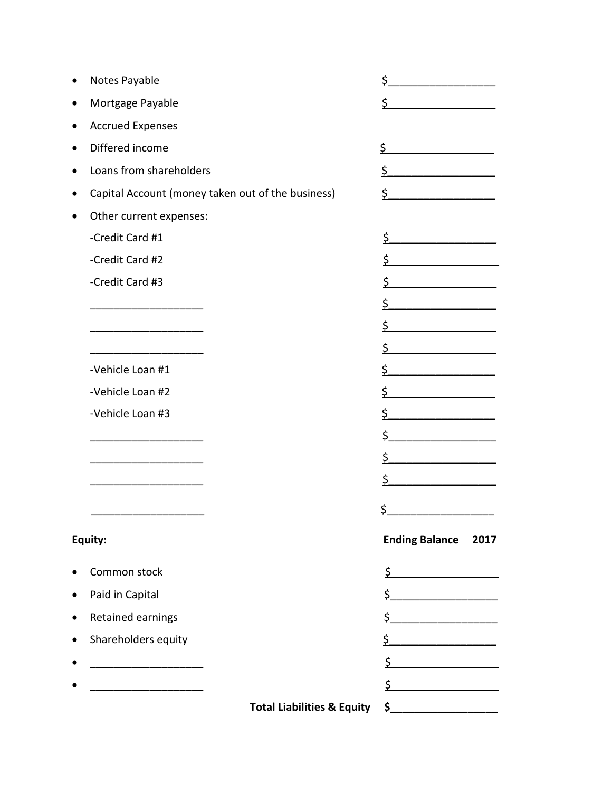|   | Notes Payable                                     |                                       | \$                            |
|---|---------------------------------------------------|---------------------------------------|-------------------------------|
|   | Mortgage Payable                                  |                                       | \$.                           |
|   | <b>Accrued Expenses</b>                           |                                       |                               |
|   | Differed income                                   |                                       | \$                            |
|   | Loans from shareholders                           |                                       | \$                            |
|   | Capital Account (money taken out of the business) |                                       | \$                            |
|   | Other current expenses:                           |                                       |                               |
|   | -Credit Card #1                                   |                                       | \$                            |
|   | -Credit Card #2                                   |                                       | \$                            |
|   | -Credit Card #3                                   |                                       | \$                            |
|   |                                                   |                                       | \$                            |
|   |                                                   |                                       | \$                            |
|   |                                                   |                                       | \$                            |
|   | -Vehicle Loan #1                                  |                                       | \$                            |
|   | -Vehicle Loan #2                                  |                                       | \$                            |
|   | -Vehicle Loan #3                                  |                                       | \$                            |
|   |                                                   |                                       | \$                            |
|   |                                                   |                                       | \$                            |
|   |                                                   |                                       | \$                            |
|   |                                                   |                                       | \$                            |
|   | Equity:                                           |                                       | <b>Ending Balance</b><br>2017 |
|   | Common stock                                      |                                       | \$                            |
|   | Paid in Capital                                   |                                       | \$                            |
| 0 | Retained earnings                                 |                                       | \$                            |
|   | Shareholders equity                               |                                       | \$                            |
|   |                                                   |                                       | \$                            |
|   |                                                   |                                       | \$                            |
|   |                                                   | <b>Total Liabilities &amp; Equity</b> | $\mathsf{S}_-$                |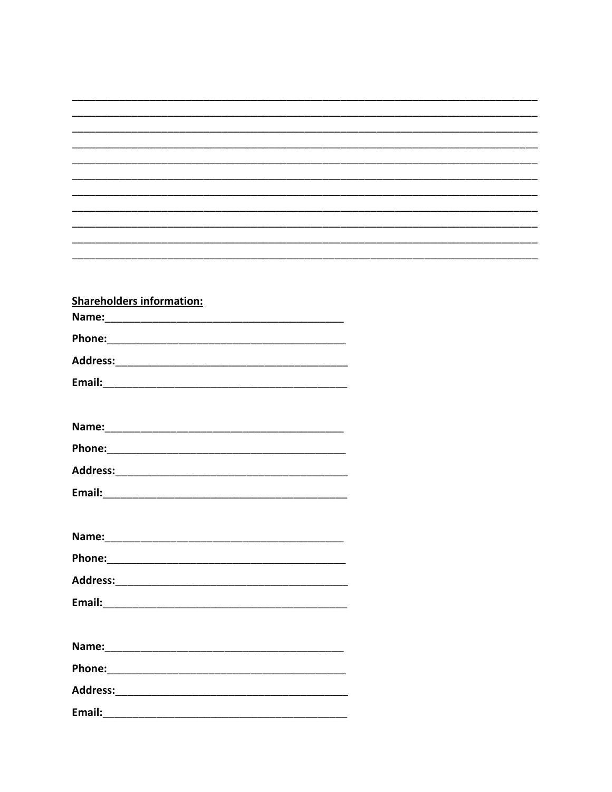| <b>Shareholders information:</b> |  |
|----------------------------------|--|
|                                  |  |
|                                  |  |
|                                  |  |
|                                  |  |
|                                  |  |
|                                  |  |
|                                  |  |
|                                  |  |
|                                  |  |
|                                  |  |
|                                  |  |
|                                  |  |
|                                  |  |
| Name:                            |  |
| Phone:                           |  |
|                                  |  |
|                                  |  |
|                                  |  |
|                                  |  |
|                                  |  |
|                                  |  |
|                                  |  |
|                                  |  |
| Email:                           |  |